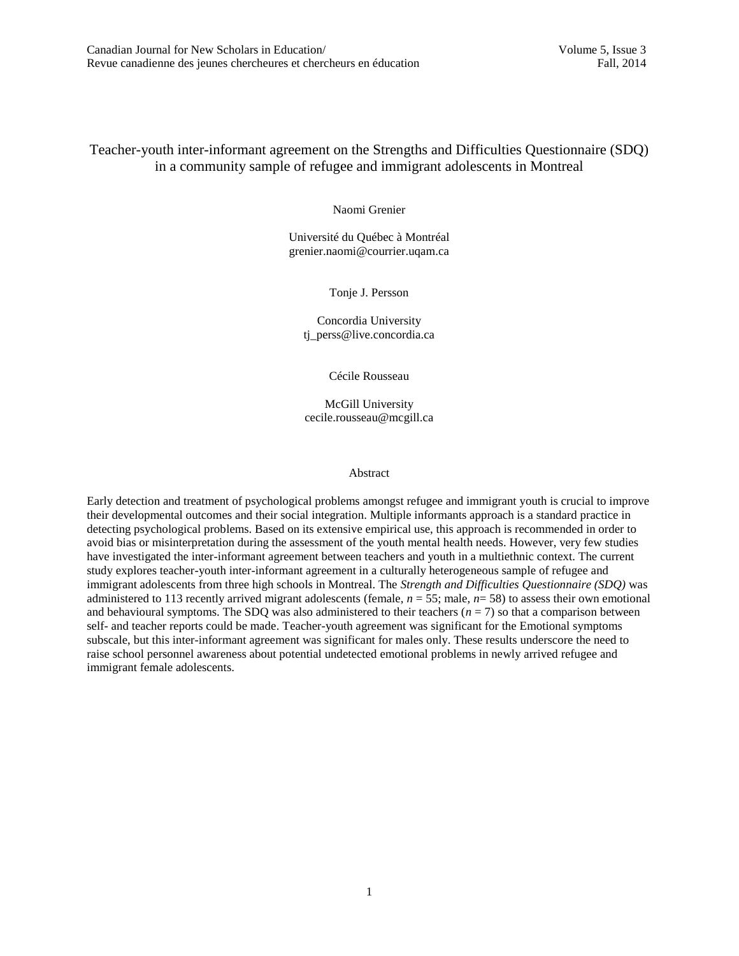# Teacher-youth inter-informant agreement on the Strengths and Difficulties Questionnaire (SDQ) in a community sample of refugee and immigrant adolescents in Montreal

Naomi Grenier

Université du Québec à Montréal grenier.naomi@courrier.uqam.ca

Tonje J. Persson

Concordia University tj\_perss@live.concordia.ca

Cécile Rousseau

McGill University cecile.rousseau@mcgill.ca

#### Abstract

Early detection and treatment of psychological problems amongst refugee and immigrant youth is crucial to improve their developmental outcomes and their social integration. Multiple informants approach is a standard practice in detecting psychological problems. Based on its extensive empirical use, this approach is recommended in order to avoid bias or misinterpretation during the assessment of the youth mental health needs. However, very few studies have investigated the inter-informant agreement between teachers and youth in a multiethnic context. The current study explores teacher-youth inter-informant agreement in a culturally heterogeneous sample of refugee and immigrant adolescents from three high schools in Montreal. The *Strength and Difficulties Questionnaire (SDQ)* was administered to 113 recently arrived migrant adolescents (female,  $n = 55$ ; male,  $n = 58$ ) to assess their own emotional and behavioural symptoms. The SDQ was also administered to their teachers  $(n = 7)$  so that a comparison between self- and teacher reports could be made. Teacher-youth agreement was significant for the Emotional symptoms subscale, but this inter-informant agreement was significant for males only. These results underscore the need to raise school personnel awareness about potential undetected emotional problems in newly arrived refugee and immigrant female adolescents.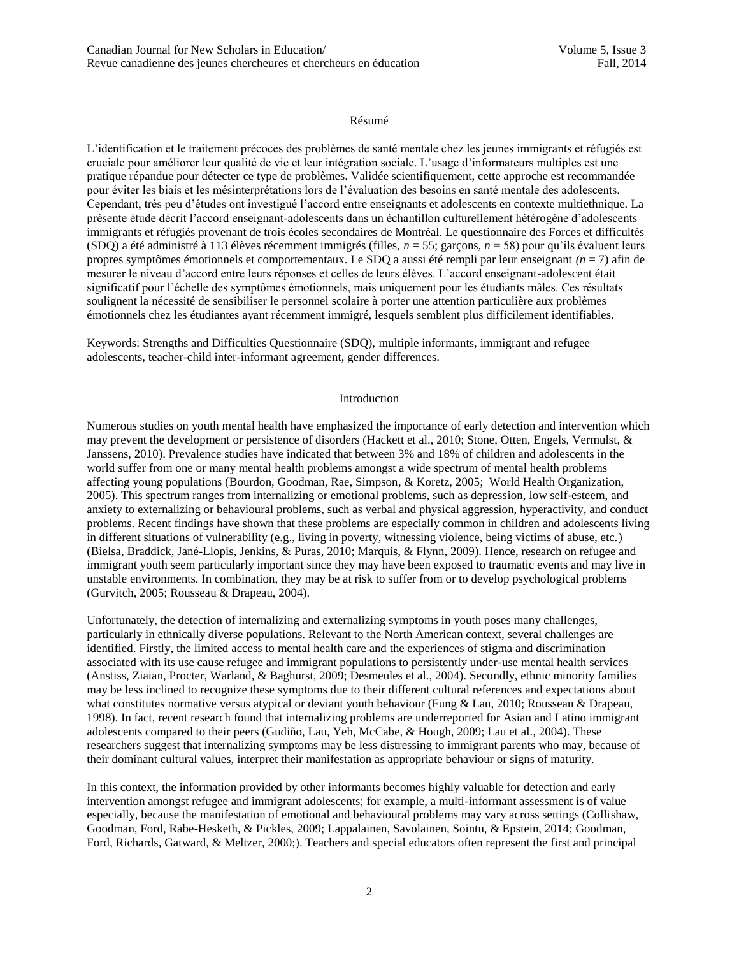### Résumé

L'identification et le traitement précoces des problèmes de santé mentale chez les jeunes immigrants et réfugiés est cruciale pour améliorer leur qualité de vie et leur intégration sociale. L'usage d'informateurs multiples est une pratique répandue pour détecter ce type de problèmes. Validée scientifiquement, cette approche est recommandée pour éviter les biais et les mésinterprétations lors de l'évaluation des besoins en santé mentale des adolescents. Cependant, très peu d'études ont investigué l'accord entre enseignants et adolescents en contexte multiethnique. La présente étude décrit l'accord enseignant-adolescents dans un échantillon culturellement hétérogène d'adolescents immigrants et réfugiés provenant de trois écoles secondaires de Montréal. Le questionnaire des Forces et difficultés (SDQ) a été administré à 113 élèves récemment immigrés (filles, *n* = 55; garçons, *n* = 58) pour qu'ils évaluent leurs propres symptômes émotionnels et comportementaux. Le SDQ a aussi été rempli par leur enseignant *(n* = 7) afin de mesurer le niveau d'accord entre leurs réponses et celles de leurs élèves. L'accord enseignant-adolescent était significatif pour l'échelle des symptômes émotionnels, mais uniquement pour les étudiants mâles. Ces résultats soulignent la nécessité de sensibiliser le personnel scolaire à porter une attention particulière aux problèmes émotionnels chez les étudiantes ayant récemment immigré, lesquels semblent plus difficilement identifiables.

Keywords: Strengths and Difficulties Questionnaire (SDQ), multiple informants, immigrant and refugee adolescents, teacher-child inter-informant agreement, gender differences.

## Introduction

Numerous studies on youth mental health have emphasized the importance of early detection and intervention which may prevent the development or persistence of disorders (Hackett et al., 2010; Stone, Otten, Engels, Vermulst, & Janssens, 2010). Prevalence studies have indicated that between 3% and 18% of children and adolescents in the world suffer from one or many mental health problems amongst a wide spectrum of mental health problems affecting young populations (Bourdon, Goodman, Rae, Simpson, & Koretz, 2005; World Health Organization, 2005). This spectrum ranges from internalizing or emotional problems, such as depression, low self-esteem, and anxiety to externalizing or behavioural problems, such as verbal and physical aggression, hyperactivity, and conduct problems. Recent findings have shown that these problems are especially common in children and adolescents living in different situations of vulnerability (e.g., living in poverty, witnessing violence, being victims of abuse, etc.) (Bielsa, Braddick, Jané-Llopis, Jenkins, & Puras, 2010; Marquis, & Flynn, 2009). Hence, research on refugee and immigrant youth seem particularly important since they may have been exposed to traumatic events and may live in unstable environments. In combination, they may be at risk to suffer from or to develop psychological problems (Gurvitch, 2005; Rousseau & Drapeau, 2004).

Unfortunately, the detection of internalizing and externalizing symptoms in youth poses many challenges, particularly in ethnically diverse populations. Relevant to the North American context, several challenges are identified. Firstly, the limited access to mental health care and the experiences of stigma and discrimination associated with its use cause refugee and immigrant populations to persistently under-use mental health services (Anstiss, Ziaian, Procter, Warland, & Baghurst, 2009; Desmeules et al., 2004). Secondly, ethnic minority families may be less inclined to recognize these symptoms due to their different cultural references and expectations about what constitutes normative versus atypical or deviant youth behaviour (Fung & Lau, 2010; Rousseau & Drapeau, 1998). In fact, recent research found that internalizing problems are underreported for Asian and Latino immigrant adolescents compared to their peers (Gudiño, Lau, Yeh, McCabe, & Hough, 2009; Lau et al., 2004). These researchers suggest that internalizing symptoms may be less distressing to immigrant parents who may, because of their dominant cultural values, interpret their manifestation as appropriate behaviour or signs of maturity.

In this context, the information provided by other informants becomes highly valuable for detection and early intervention amongst refugee and immigrant adolescents; for example, a multi-informant assessment is of value especially, because the manifestation of emotional and behavioural problems may vary across settings (Collishaw, Goodman, Ford, Rabe-Hesketh, & Pickles, 2009; Lappalainen, Savolainen, Sointu, & Epstein, 2014; Goodman, Ford, Richards, Gatward, & Meltzer, 2000;). Teachers and special educators often represent the first and principal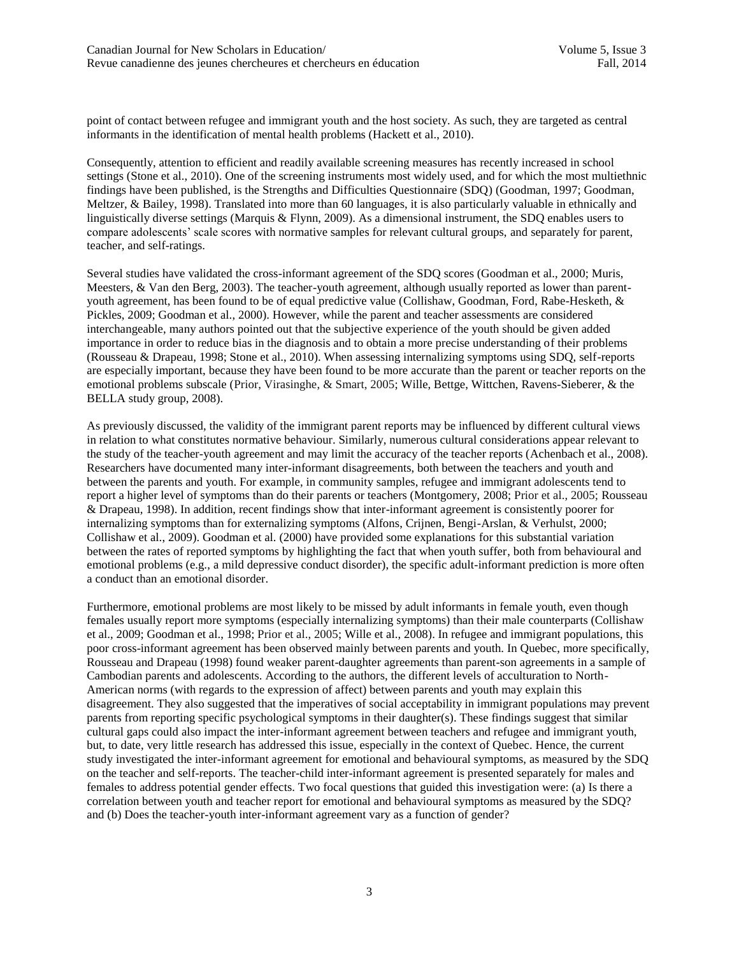point of contact between refugee and immigrant youth and the host society. As such, they are targeted as central informants in the identification of mental health problems (Hackett et al., 2010).

Consequently, attention to efficient and readily available screening measures has recently increased in school settings (Stone et al., 2010). One of the screening instruments most widely used, and for which the most multiethnic findings have been published, is the Strengths and Difficulties Questionnaire (SDQ) (Goodman, 1997; Goodman, Meltzer, & Bailey, 1998). Translated into more than 60 languages, it is also particularly valuable in ethnically and linguistically diverse settings (Marquis & Flynn, 2009). As a dimensional instrument, the SDQ enables users to compare adolescents' scale scores with normative samples for relevant cultural groups, and separately for parent, teacher, and self-ratings.

Several studies have validated the cross-informant agreement of the SDQ scores (Goodman et al., 2000; Muris, Meesters, & Van den Berg, 2003). The teacher-youth agreement, although usually reported as lower than parentyouth agreement, has been found to be of equal predictive value (Collishaw, Goodman, Ford, Rabe-Hesketh, & Pickles, 2009; Goodman et al., 2000). However, while the parent and teacher assessments are considered interchangeable, many authors pointed out that the subjective experience of the youth should be given added importance in order to reduce bias in the diagnosis and to obtain a more precise understanding of their problems (Rousseau & Drapeau, 1998; Stone et al., 2010). When assessing internalizing symptoms using SDQ, self-reports are especially important, because they have been found to be more accurate than the parent or teacher reports on the emotional problems subscale (Prior, Virasinghe, & Smart, 2005; Wille, Bettge, Wittchen, Ravens-Sieberer, & the BELLA study group, 2008).

As previously discussed, the validity of the immigrant parent reports may be influenced by different cultural views in relation to what constitutes normative behaviour. Similarly, numerous cultural considerations appear relevant to the study of the teacher-youth agreement and may limit the accuracy of the teacher reports (Achenbach et al., 2008). Researchers have documented many inter-informant disagreements, both between the teachers and youth and between the parents and youth. For example, in community samples, refugee and immigrant adolescents tend to report a higher level of symptoms than do their parents or teachers (Montgomery, 2008; Prior et al., 2005; Rousseau & Drapeau*,* 1998). In addition, recent findings show that inter-informant agreement is consistently poorer for internalizing symptoms than for externalizing symptoms (Alfons, Crijnen, Bengi-Arslan, & Verhulst, 2000; Collishaw et al., 2009). Goodman et al. (2000) have provided some explanations for this substantial variation between the rates of reported symptoms by highlighting the fact that when youth suffer, both from behavioural and emotional problems (e.g., a mild depressive conduct disorder), the specific adult-informant prediction is more often a conduct than an emotional disorder.

Furthermore, emotional problems are most likely to be missed by adult informants in female youth, even though females usually report more symptoms (especially internalizing symptoms) than their male counterparts (Collishaw et al., 2009; Goodman et al., 1998; Prior et al., 2005; Wille et al., 2008). In refugee and immigrant populations, this poor cross-informant agreement has been observed mainly between parents and youth. In Quebec, more specifically, Rousseau and Drapeau (1998) found weaker parent-daughter agreements than parent-son agreements in a sample of Cambodian parents and adolescents. According to the authors, the different levels of acculturation to North-American norms (with regards to the expression of affect) between parents and youth may explain this disagreement. They also suggested that the imperatives of social acceptability in immigrant populations may prevent parents from reporting specific psychological symptoms in their daughter(s). These findings suggest that similar cultural gaps could also impact the inter-informant agreement between teachers and refugee and immigrant youth, but, to date, very little research has addressed this issue, especially in the context of Quebec. Hence, the current study investigated the inter-informant agreement for emotional and behavioural symptoms, as measured by the SDQ on the teacher and self-reports. The teacher-child inter-informant agreement is presented separately for males and females to address potential gender effects. Two focal questions that guided this investigation were: (a) Is there a correlation between youth and teacher report for emotional and behavioural symptoms as measured by the SDQ? and (b) Does the teacher-youth inter-informant agreement vary as a function of gender?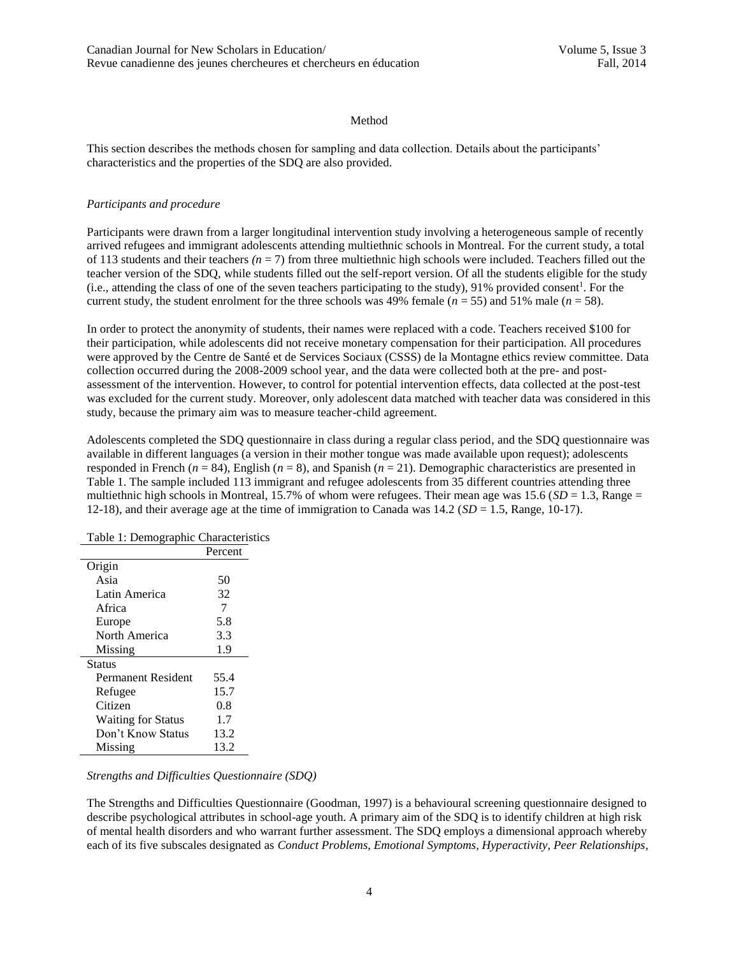## Method

This section describes the methods chosen for sampling and data collection. Details about the participants' characteristics and the properties of the SDQ are also provided.

## *Participants and procedure*

Participants were drawn from a larger longitudinal intervention study involving a heterogeneous sample of recently arrived refugees and immigrant adolescents attending multiethnic schools in Montreal. For the current study, a total of 113 students and their teachers *(n* = 7) from three multiethnic high schools were included. Teachers filled out the teacher version of the SDQ, while students filled out the self-report version. Of all the students eligible for the study  $(i.e.,$  attending the class of one of the seven teachers participating to the study), 91% provided consent<sup>1</sup>. For the current study, the student enrolment for the three schools was 49% female ( $n = 55$ ) and 51% male ( $n = 58$ ).

In order to protect the anonymity of students, their names were replaced with a code. Teachers received \$100 for their participation, while adolescents did not receive monetary compensation for their participation. All procedures were approved by the Centre de Santé et de Services Sociaux (CSSS) de la Montagne ethics review committee. Data collection occurred during the 2008-2009 school year, and the data were collected both at the pre- and postassessment of the intervention. However, to control for potential intervention effects, data collected at the post-test was excluded for the current study. Moreover, only adolescent data matched with teacher data was considered in this study, because the primary aim was to measure teacher-child agreement.

Adolescents completed the SDQ questionnaire in class during a regular class period, and the SDQ questionnaire was available in different languages (a version in their mother tongue was made available upon request); adolescents responded in French  $(n = 84)$ , English  $(n = 8)$ , and Spanish  $(n = 21)$ . Demographic characteristics are presented in Table 1. The sample included 113 immigrant and refugee adolescents from 35 different countries attending three multiethnic high schools in Montreal, 15.7% of whom were refugees. Their mean age was  $15.6$  (*SD* = 1.3, Range = 12-18), and their average age at the time of immigration to Canada was 14.2 (*SD* = 1.5, Range, 10-17).

| Table 1: Demographic Characteristics |         |  |
|--------------------------------------|---------|--|
|                                      | Percent |  |
| Origin                               |         |  |
| Asia                                 | 50      |  |
| Latin America                        | 32      |  |
| Africa                               | 7       |  |
| Europe                               | 5.8     |  |
| North America                        | 3.3     |  |
| Missing                              | 1.9     |  |
| Status                               |         |  |
| <b>Permanent Resident</b>            | 55.4    |  |
| Refugee                              | 15.7    |  |
| Citizen                              | 0.8     |  |
| <b>Waiting for Status</b>            | 1.7     |  |
| Don't Know Status                    | 13.2    |  |
| Missing                              | 13.2    |  |

# *Strengths and Difficulties Questionnaire (SDQ)*

The Strengths and Difficulties Questionnaire (Goodman, 1997) is a behavioural screening questionnaire designed to describe psychological attributes in school-age youth. A primary aim of the SDQ is to identify children at high risk of mental health disorders and who warrant further assessment. The SDQ employs a dimensional approach whereby each of its five subscales designated as *Conduct Problems*, *Emotional Symptoms, Hyperactivity, Peer Relationships,*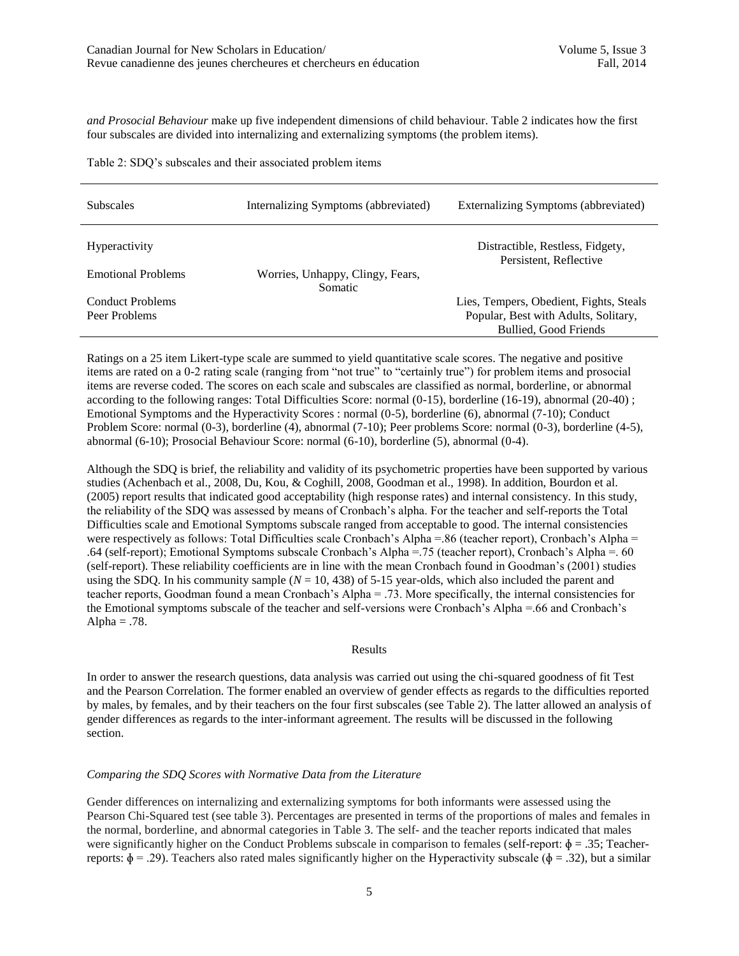*and Prosocial Behaviour* make up five independent dimensions of child behaviour. Table 2 indicates how the first four subscales are divided into internalizing and externalizing symptoms (the problem items).

| <b>Subscales</b>                         | Internalizing Symptoms (abbreviated)        | Externalizing Symptoms (abbreviated)                                                                     |
|------------------------------------------|---------------------------------------------|----------------------------------------------------------------------------------------------------------|
| <b>Hyperactivity</b>                     |                                             | Distractible, Restless, Fidgety,<br>Persistent, Reflective                                               |
| <b>Emotional Problems</b>                | Worries, Unhappy, Clingy, Fears,<br>Somatic |                                                                                                          |
| <b>Conduct Problems</b><br>Peer Problems |                                             | Lies, Tempers, Obedient, Fights, Steals<br>Popular, Best with Adults, Solitary,<br>Bullied, Good Friends |

Ratings on a 25 item Likert-type scale are summed to yield quantitative scale scores. The negative and positive items are rated on a 0-2 rating scale (ranging from "not true" to "certainly true") for problem items and prosocial items are reverse coded. The scores on each scale and subscales are classified as normal, borderline, or abnormal according to the following ranges: Total Difficulties Score: normal (0-15), borderline (16-19), abnormal (20-40) ; Emotional Symptoms and the Hyperactivity Scores : normal (0-5), borderline (6), abnormal (7-10); Conduct Problem Score: normal (0-3), borderline (4), abnormal (7-10); Peer problems Score: normal (0-3), borderline (4-5), abnormal (6-10); Prosocial Behaviour Score: normal (6-10), borderline (5), abnormal (0-4).

Although the SDQ is brief, the reliability and validity of its psychometric properties have been supported by various studies (Achenbach et al., 2008, Du, Kou, & Coghill, 2008, Goodman et al., 1998). In addition, Bourdon et al. (2005) report results that indicated good acceptability (high response rates) and internal consistency. In this study, the reliability of the SDQ was assessed by means of Cronbach's alpha. For the teacher and self-reports the Total Difficulties scale and Emotional Symptoms subscale ranged from acceptable to good. The internal consistencies were respectively as follows: Total Difficulties scale Cronbach's Alpha = 86 (teacher report), Cronbach's Alpha = .64 (self-report); Emotional Symptoms subscale Cronbach's Alpha =.75 (teacher report), Cronbach's Alpha =. 60 (self-report). These reliability coefficients are in line with the mean Cronbach found in Goodman's (2001) studies using the SDQ. In his community sample  $(N = 10, 438)$  of 5-15 year-olds, which also included the parent and teacher reports, Goodman found a mean Cronbach's Alpha = .73. More specifically, the internal consistencies for the Emotional symptoms subscale of the teacher and self-versions were Cronbach's Alpha =.66 and Cronbach's Alpha  $= .78$ .

#### Results

In order to answer the research questions, data analysis was carried out using the chi-squared goodness of fit Test and the Pearson Correlation. The former enabled an overview of gender effects as regards to the difficulties reported by males, by females, and by their teachers on the four first subscales (see Table 2). The latter allowed an analysis of gender differences as regards to the inter-informant agreement. The results will be discussed in the following section.

## *Comparing the SDQ Scores with Normative Data from the Literature*

Gender differences on internalizing and externalizing symptoms for both informants were assessed using the Pearson Chi-Squared test (see table 3). Percentages are presented in terms of the proportions of males and females in the normal, borderline, and abnormal categories in Table 3. The self- and the teacher reports indicated that males were significantly higher on the Conduct Problems subscale in comparison to females (self-report:  $\phi = .35$ ; Teacherreports:  $\phi = .29$ ). Teachers also rated males significantly higher on the Hyperactivity subscale ( $\phi = .32$ ), but a similar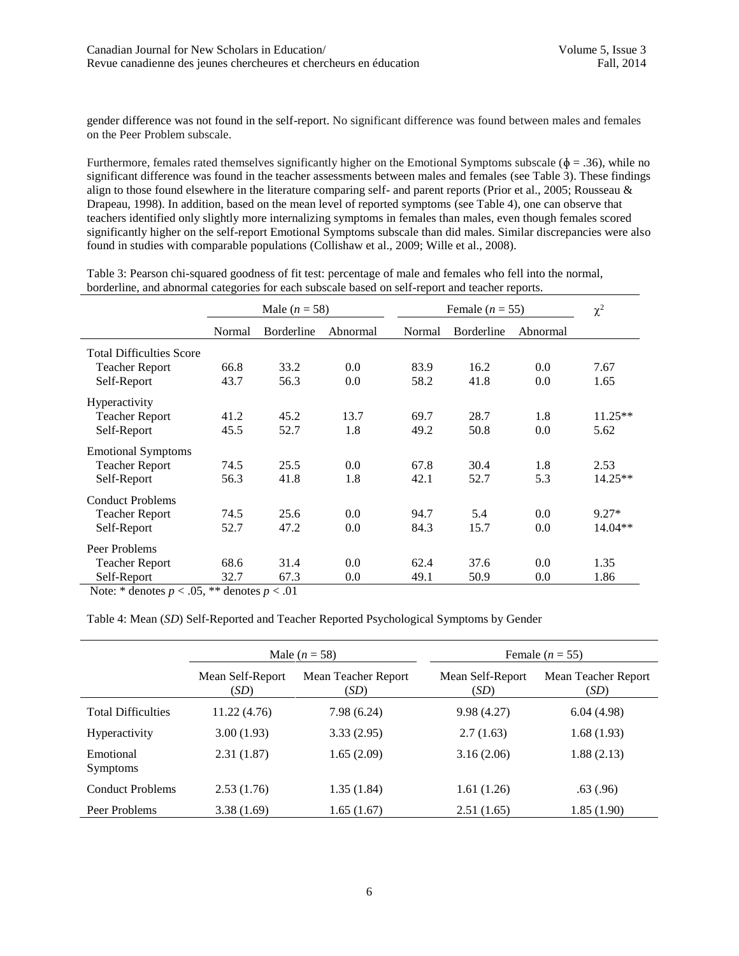gender difference was not found in the self-report. No significant difference was found between males and females on the Peer Problem subscale.

Furthermore, females rated themselves significantly higher on the Emotional Symptoms subscale ( $\phi = .36$ ), while no significant difference was found in the teacher assessments between males and females (see Table 3). These findings align to those found elsewhere in the literature comparing self- and parent reports (Prior et al., 2005; Rousseau & Drapeau, 1998). In addition, based on the mean level of reported symptoms (see Table 4), one can observe that teachers identified only slightly more internalizing symptoms in females than males, even though females scored significantly higher on the self-report Emotional Symptoms subscale than did males. Similar discrepancies were also found in studies with comparable populations (Collishaw et al., 2009; Wille et al., 2008).

Table 3: Pearson chi-squared goodness of fit test: percentage of male and females who fell into the normal, borderline, and abnormal categories for each subscale based on self-report and teacher reports.

|                                 | Male $(n = 58)$ |            | Female $(n = 55)$ |        |                   | $\chi^2$ |           |
|---------------------------------|-----------------|------------|-------------------|--------|-------------------|----------|-----------|
|                                 | Normal          | Borderline | Abnormal          | Normal | <b>Borderline</b> | Abnormal |           |
| <b>Total Difficulties Score</b> |                 |            |                   |        |                   |          |           |
| <b>Teacher Report</b>           | 66.8            | 33.2       | 0.0               | 83.9   | 16.2              | 0.0      | 7.67      |
| Self-Report                     | 43.7            | 56.3       | 0.0               | 58.2   | 41.8              | 0.0      | 1.65      |
| Hyperactivity                   |                 |            |                   |        |                   |          |           |
| <b>Teacher Report</b>           | 41.2            | 45.2       | 13.7              | 69.7   | 28.7              | 1.8      | $11.25**$ |
| Self-Report                     | 45.5            | 52.7       | 1.8               | 49.2   | 50.8              | 0.0      | 5.62      |
| <b>Emotional Symptoms</b>       |                 |            |                   |        |                   |          |           |
| <b>Teacher Report</b>           | 74.5            | 25.5       | 0.0               | 67.8   | 30.4              | 1.8      | 2.53      |
| Self-Report                     | 56.3            | 41.8       | 1.8               | 42.1   | 52.7              | 5.3      | $14.25**$ |
| <b>Conduct Problems</b>         |                 |            |                   |        |                   |          |           |
| <b>Teacher Report</b>           | 74.5            | 25.6       | 0.0               | 94.7   | 5.4               | 0.0      | $9.27*$   |
| Self-Report                     | 52.7            | 47.2       | 0.0               | 84.3   | 15.7              | 0.0      | $14.04**$ |
| Peer Problems                   |                 |            |                   |        |                   |          |           |
| <b>Teacher Report</b>           | 68.6            | 31.4       | 0.0               | 62.4   | 37.6              | 0.0      | 1.35      |
| Self-Report                     | 32.7            | 67.3       | 0.0               | 49.1   | 50.9              | 0.0      | 1.86      |

Note:  $*$  denotes  $p < .05$ ,  $**$  denotes  $p < .01$ 

Table 4: Mean (*SD*) Self-Reported and Teacher Reported Psychological Symptoms by Gender

|                              | Male $(n = 58)$          |                             | Female $(n = 55)$        |                             |  |
|------------------------------|--------------------------|-----------------------------|--------------------------|-----------------------------|--|
|                              | Mean Self-Report<br>(SD) | Mean Teacher Report<br>(SD) | Mean Self-Report<br>(SD) | Mean Teacher Report<br>(SD) |  |
| <b>Total Difficulties</b>    | 11.22(4.76)              | 7.98(6.24)                  | 9.98(4.27)               | 6.04(4.98)                  |  |
| <b>Hyperactivity</b>         | 3.00(1.93)               | 3.33(2.95)                  | 2.7(1.63)                | 1.68(1.93)                  |  |
| Emotional<br><b>Symptoms</b> | 2.31(1.87)               | 1.65(2.09)                  | 3.16(2.06)               | 1.88(2.13)                  |  |
| <b>Conduct Problems</b>      | 2.53(1.76)               | 1.35(1.84)                  | 1.61(1.26)               | .63(.96)                    |  |
| Peer Problems                | 3.38(1.69)               | 1.65(1.67)                  | 2.51(1.65)               | 1.85(1.90)                  |  |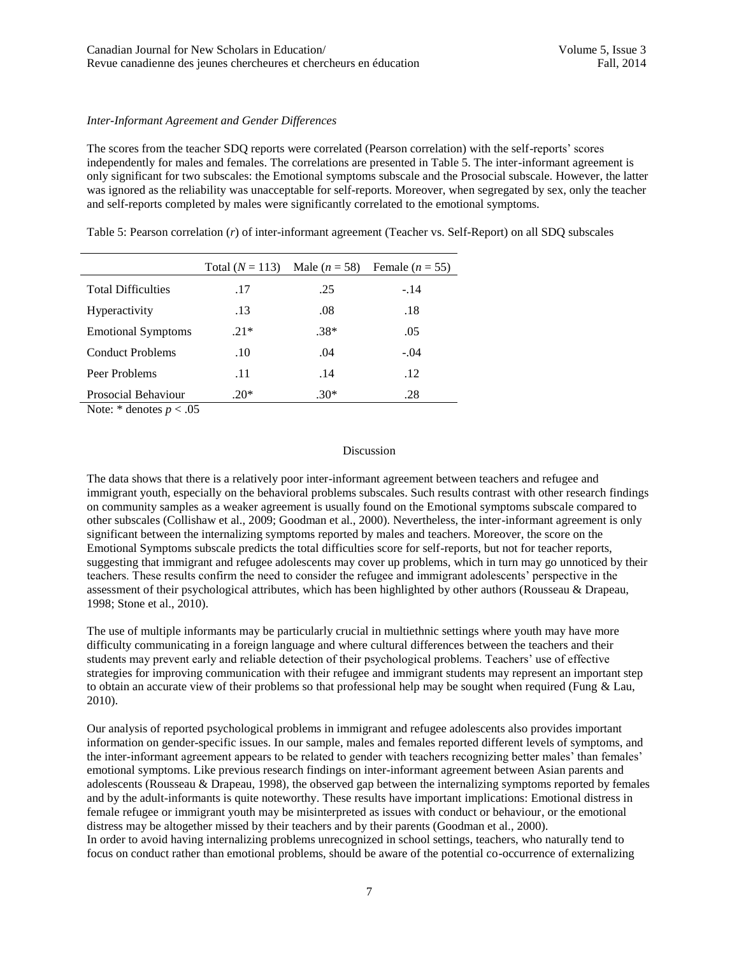## *Inter-Informant Agreement and Gender Differences*

The scores from the teacher SDQ reports were correlated (Pearson correlation) with the self-reports' scores independently for males and females. The correlations are presented in Table 5. The inter-informant agreement is only significant for two subscales: the Emotional symptoms subscale and the Prosocial subscale. However, the latter was ignored as the reliability was unacceptable for self-reports. Moreover, when segregated by sex, only the teacher and self-reports completed by males were significantly correlated to the emotional symptoms.

Table 5: Pearson correlation (*r*) of inter-informant agreement (Teacher vs. Self-Report) on all SDQ subscales

|                                                                       | Total $(N = 113)$ | Male $(n = 58)$ | Female ( $n = 55$ ) |
|-----------------------------------------------------------------------|-------------------|-----------------|---------------------|
| <b>Total Difficulties</b>                                             | .17               | .25             | $-.14$              |
| <b>Hyperactivity</b>                                                  | .13               | .08             | .18                 |
| <b>Emotional Symptoms</b>                                             | $.21*$            | $.38*$          | .05                 |
| <b>Conduct Problems</b>                                               | .10               | .04             | $-.04$              |
| Peer Problems                                                         | .11               | .14             | .12                 |
| Prosocial Behaviour<br>$\mathbf{v}$ and $\mathbf{v}$ and $\mathbf{v}$ | $.20*$            | $.30*$          | .28                 |

Note:  $*$  denotes  $p < .05$ 

## Discussion

The data shows that there is a relatively poor inter-informant agreement between teachers and refugee and immigrant youth, especially on the behavioral problems subscales. Such results contrast with other research findings on community samples as a weaker agreement is usually found on the Emotional symptoms subscale compared to other subscales (Collishaw et al., 2009; Goodman et al., 2000). Nevertheless, the inter-informant agreement is only significant between the internalizing symptoms reported by males and teachers. Moreover, the score on the Emotional Symptoms subscale predicts the total difficulties score for self-reports, but not for teacher reports, suggesting that immigrant and refugee adolescents may cover up problems, which in turn may go unnoticed by their teachers. These results confirm the need to consider the refugee and immigrant adolescents' perspective in the assessment of their psychological attributes, which has been highlighted by other authors (Rousseau & Drapeau, 1998; Stone et al., 2010).

The use of multiple informants may be particularly crucial in multiethnic settings where youth may have more difficulty communicating in a foreign language and where cultural differences between the teachers and their students may prevent early and reliable detection of their psychological problems. Teachers' use of effective strategies for improving communication with their refugee and immigrant students may represent an important step to obtain an accurate view of their problems so that professional help may be sought when required (Fung & Lau, 2010).

Our analysis of reported psychological problems in immigrant and refugee adolescents also provides important information on gender-specific issues. In our sample, males and females reported different levels of symptoms, and the inter-informant agreement appears to be related to gender with teachers recognizing better males' than females' emotional symptoms. Like previous research findings on inter-informant agreement between Asian parents and adolescents (Rousseau & Drapeau, 1998), the observed gap between the internalizing symptoms reported by females and by the adult-informants is quite noteworthy. These results have important implications: Emotional distress in female refugee or immigrant youth may be misinterpreted as issues with conduct or behaviour, or the emotional distress may be altogether missed by their teachers and by their parents (Goodman et al., 2000). In order to avoid having internalizing problems unrecognized in school settings, teachers, who naturally tend to focus on conduct rather than emotional problems, should be aware of the potential co-occurrence of externalizing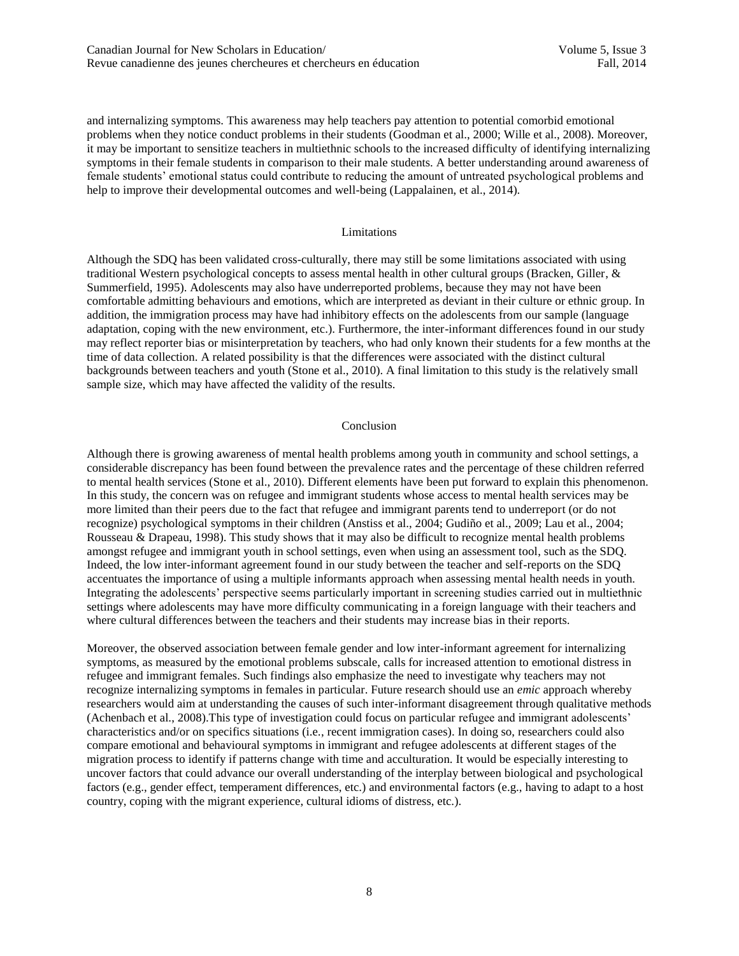and internalizing symptoms. This awareness may help teachers pay attention to potential comorbid emotional problems when they notice conduct problems in their students (Goodman et al., 2000; Wille et al., 2008). Moreover, it may be important to sensitize teachers in multiethnic schools to the increased difficulty of identifying internalizing symptoms in their female students in comparison to their male students. A better understanding around awareness of female students' emotional status could contribute to reducing the amount of untreated psychological problems and help to improve their developmental outcomes and well-being (Lappalainen, et al., 2014).

#### Limitations

Although the SDQ has been validated cross-culturally, there may still be some limitations associated with using traditional Western psychological concepts to assess mental health in other cultural groups (Bracken, Giller, & Summerfield, 1995). Adolescents may also have underreported problems, because they may not have been comfortable admitting behaviours and emotions, which are interpreted as deviant in their culture or ethnic group. In addition, the immigration process may have had inhibitory effects on the adolescents from our sample (language adaptation, coping with the new environment, etc.). Furthermore, the inter-informant differences found in our study may reflect reporter bias or misinterpretation by teachers, who had only known their students for a few months at the time of data collection. A related possibility is that the differences were associated with the distinct cultural backgrounds between teachers and youth (Stone et al., 2010). A final limitation to this study is the relatively small sample size, which may have affected the validity of the results.

#### Conclusion

Although there is growing awareness of mental health problems among youth in community and school settings, a considerable discrepancy has been found between the prevalence rates and the percentage of these children referred to mental health services (Stone et al., 2010). Different elements have been put forward to explain this phenomenon. In this study, the concern was on refugee and immigrant students whose access to mental health services may be more limited than their peers due to the fact that refugee and immigrant parents tend to underreport (or do not recognize) psychological symptoms in their children (Anstiss et al., 2004; Gudiño et al., 2009; Lau et al., 2004; Rousseau & Drapeau, 1998). This study shows that it may also be difficult to recognize mental health problems amongst refugee and immigrant youth in school settings, even when using an assessment tool, such as the SDQ. Indeed, the low inter-informant agreement found in our study between the teacher and self-reports on the SDQ accentuates the importance of using a multiple informants approach when assessing mental health needs in youth. Integrating the adolescents' perspective seems particularly important in screening studies carried out in multiethnic settings where adolescents may have more difficulty communicating in a foreign language with their teachers and where cultural differences between the teachers and their students may increase bias in their reports.

Moreover, the observed association between female gender and low inter-informant agreement for internalizing symptoms, as measured by the emotional problems subscale, calls for increased attention to emotional distress in refugee and immigrant females. Such findings also emphasize the need to investigate why teachers may not recognize internalizing symptoms in females in particular. Future research should use an *emic* approach whereby researchers would aim at understanding the causes of such inter-informant disagreement through qualitative methods (Achenbach et al., 2008).This type of investigation could focus on particular refugee and immigrant adolescents' characteristics and/or on specifics situations (i.e., recent immigration cases). In doing so, researchers could also compare emotional and behavioural symptoms in immigrant and refugee adolescents at different stages of the migration process to identify if patterns change with time and acculturation. It would be especially interesting to uncover factors that could advance our overall understanding of the interplay between biological and psychological factors (e.g., gender effect, temperament differences, etc.) and environmental factors (e.g., having to adapt to a host country, coping with the migrant experience, cultural idioms of distress, etc.).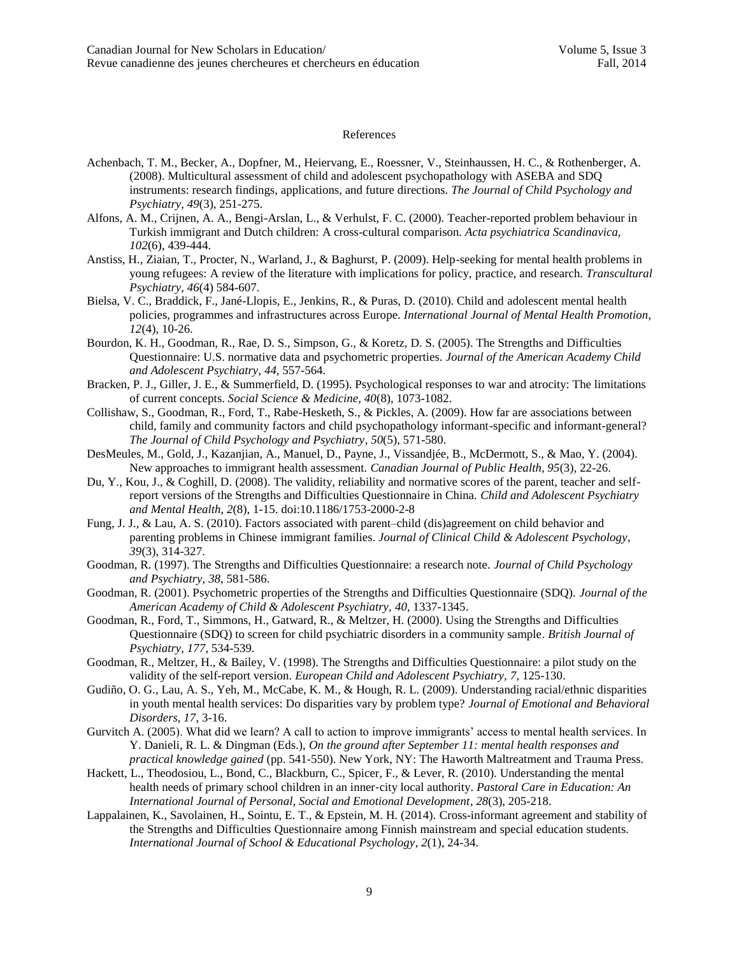#### References

- Achenbach, T. M., Becker, A., Dopfner, M., Heiervang, E., Roessner, V., Steinhaussen, H. C., & Rothenberger, A. (2008). Multicultural assessment of child and adolescent psychopathology with ASEBA and SDQ instruments: research findings, applications, and future directions. *The Journal of Child Psychology and Psychiatry*, *49*(3), 251-275.
- Alfons, A. M., Crijnen, A. A., Bengi-Arslan, L., & Verhulst, F. C. (2000). [Teacher-reported problem behaviour in](http://www.biomedexperts.com/Abstract.bme/11142433/Teacher-reported_problem_behaviour_in_Turkish_immigrant_and_Dutch_children_a_cross-cultural_comparison)  [Turkish immigrant and Dutch children: A](http://www.biomedexperts.com/Abstract.bme/11142433/Teacher-reported_problem_behaviour_in_Turkish_immigrant_and_Dutch_children_a_cross-cultural_comparison) cross-cultural comparison. *Acta psychiatrica Scandinavica, 102*(6), 439-444.
- Anstiss, H., Ziaian, T., Procter, N., Warland, J., & Baghurst, P. (2009). Help-seeking for mental health problems in young refugees: A review of the literature with implications for policy, practice, and research. *Transcultural Psychiatry, 46*(4) 584-607.
- Bielsa, V. C., Braddick, F., Jané-Llopis, E., Jenkins, R., & Puras, D. (2010). Child and adolescent mental health policies, programmes and infrastructures across Europe. *International Journal of Mental Health Promotion*, *12*(4), 10-26.
- Bourdon, K. H., Goodman, R., Rae, D. S., Simpson, G., & Koretz, D. S. (2005). The Strengths and Difficulties Questionnaire: U.S. normative data and psychometric properties. *Journal of the American Academy Child and Adolescent Psychiatry*, *44*, 557-564.
- Bracken, P. J., Giller, J. E., & Summerfield, D. (1995). Psychological responses to war and atrocity: The limitations of current concepts. *Social Science & Medicine, 40*(8), 1073-1082.
- Collishaw, S., Goodman, R., Ford, T., Rabe-Hesketh, S., & Pickles, A. (2009). How far are associations between child, family and community factors and child psychopathology informant-specific and informant-general? *The Journal of Child Psychology and Psychiatry*, *50*(5), 571-580.
- DesMeules, M., Gold, J., Kazanjian, A., Manuel, D., Payne, J., Vissandjée, B., McDermott, S., & Mao, Y. (2004). New approaches to immigrant health assessment. *Canadian Journal of Public Health, 95*(3), 22-26.
- Du, Y., Kou, J., & Coghill, D. (2008). The validity, reliability and normative scores of the parent, teacher and selfreport versions of the Strengths and Difficulties Questionnaire in China. *Child and Adolescent Psychiatry and Mental Health*, *2*(8), 1-15. doi:10.1186/1753-2000-2-8
- Fung, J. J., & Lau, A. S. (2010). Factors associated with parent–child (dis)agreement on child behavior and parenting problems in Chinese immigrant families. *Journal of Clinical Child & Adolescent Psychology*, *39*(3), 314-327.
- Goodman, R. (1997). The Strengths and Difficulties Questionnaire: a research note. *Journal of Child Psychology and Psychiatry, 38*, 581-586.
- Goodman, R. (2001). Psychometric properties of the Strengths and Difficulties Questionnaire (SDQ). *Journal of the American Academy of Child & Adolescent Psychiatry, 40*, 1337-1345.
- Goodman, R., Ford, T., Simmons, H., Gatward, R., & Meltzer, H. (2000). Using the Strengths and Difficulties Questionnaire (SDQ) to screen for child psychiatric disorders in a community sample. *British Journal of Psychiatry*, *177*, 534-539.
- Goodman, R., Meltzer, H., & Bailey, V. (1998). The Strengths and Difficulties Questionnaire: a pilot study on the validity of the self-report version. *European Child and Adolescent Psychiatry, 7*, 125-130.
- Gudiño, O. G., Lau, A. S., Yeh, M., McCabe, K. M., & Hough, R. L. (2009). Understanding racial/ethnic disparities in youth mental health services: Do disparities vary by problem type? *Journal of Emotional and Behavioral Disorders*, *17*, 3-16.
- Gurvitch A. (2005). What did we learn? A call to action to improve immigrants' access to mental health services. In Y. Danieli, R. L. & Dingman (Eds.), *On the ground after September 11: mental health responses and practical knowledge gained* (pp. 541-550). New York, NY: The Haworth Maltreatment and Trauma Press.
- Hackett, L., Theodosiou, L., Bond, C., Blackburn, C., Spicer, F., & Lever, R. (2010). Understanding the mental health needs of primary school children in an inner-city local authority. *Pastoral Care in Education: An International Journal of Personal, Social and Emotional Development*, *28*(3), 205-218.
- Lappalainen, K., Savolainen, H., Sointu, E. T., & Epstein, M. H. (2014). Cross-informant agreement and stability of the Strengths and Difficulties Questionnaire among Finnish mainstream and special education students. *International Journal of School & Educational Psychology*, *2*(1), 24-34.